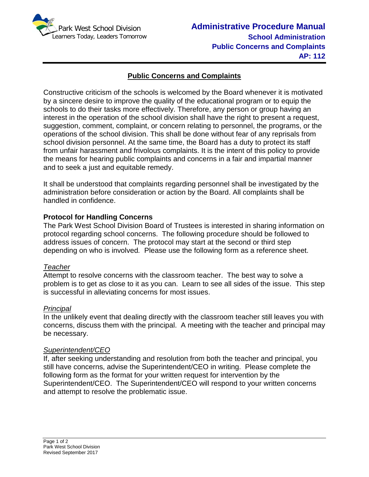

# **Public Concerns and Complaints**

Constructive criticism of the schools is welcomed by the Board whenever it is motivated by a sincere desire to improve the quality of the educational program or to equip the schools to do their tasks more effectively. Therefore, any person or group having an interest in the operation of the school division shall have the right to present a request, suggestion, comment, complaint, or concern relating to personnel, the programs, or the operations of the school division. This shall be done without fear of any reprisals from school division personnel. At the same time, the Board has a duty to protect its staff from unfair harassment and frivolous complaints. It is the intent of this policy to provide the means for hearing public complaints and concerns in a fair and impartial manner and to seek a just and equitable remedy.

It shall be understood that complaints regarding personnel shall be investigated by the administration before consideration or action by the Board. All complaints shall be handled in confidence.

## **Protocol for Handling Concerns**

The Park West School Division Board of Trustees is interested in sharing information on protocol regarding school concerns. The following procedure should be followed to address issues of concern. The protocol may start at the second or third step depending on who is involved*.* Please use the following form as a reference sheet.

## *Teacher*

Attempt to resolve concerns with the classroom teacher. The best way to solve a problem is to get as close to it as you can. Learn to see all sides of the issue. This step is successful in alleviating concerns for most issues.

#### *Principal*

In the unlikely event that dealing directly with the classroom teacher still leaves you with concerns, discuss them with the principal. A meeting with the teacher and principal may be necessary.

## *Superintendent/CEO*

If, after seeking understanding and resolution from both the teacher and principal, you still have concerns, advise the Superintendent/CEO in writing. Please complete the following form as the format for your written request for intervention by the Superintendent/CEO. The Superintendent/CEO will respond to your written concerns and attempt to resolve the problematic issue.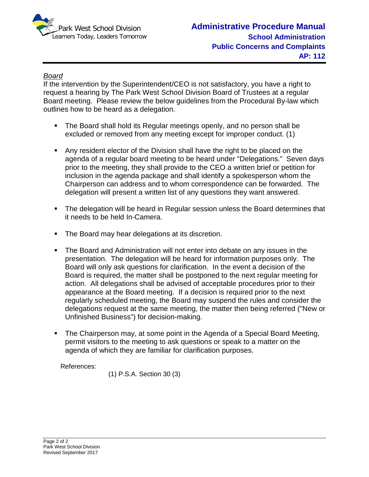

# *Board*

If the intervention by the Superintendent/CEO is not satisfactory, you have a right to request a hearing by The Park West School Division Board of Trustees at a regular Board meeting. Please review the below guidelines from the Procedural By-law which outlines how to be heard as a delegation.

- The Board shall hold its Regular meetings openly, and no person shall be excluded or removed from any meeting except for improper conduct. (1)
- Any resident elector of the Division shall have the right to be placed on the agenda of a regular board meeting to be heard under "Delegations." Seven days prior to the meeting, they shall provide to the CEO a written brief or petition for inclusion in the agenda package and shall identify a spokesperson whom the Chairperson can address and to whom correspondence can be forwarded. The delegation will present a written list of any questions they want answered.
- The delegation will be heard in Regular session unless the Board determines that it needs to be held In-Camera.
- **The Board may hear delegations at its discretion.**
- The Board and Administration will not enter into debate on any issues in the presentation. The delegation will be heard for information purposes only. The Board will only ask questions for clarification. In the event a decision of the Board is required, the matter shall be postponed to the next regular meeting for action. All delegations shall be advised of acceptable procedures prior to their appearance at the Board meeting. If a decision is required prior to the next regularly scheduled meeting, the Board may suspend the rules and consider the delegations request at the same meeting, the matter then being referred ("New or Unfinished Business") for decision-making.
- The Chairperson may, at some point in the Agenda of a Special Board Meeting, permit visitors to the meeting to ask questions or speak to a matter on the agenda of which they are familiar for clarification purposes.

References:

(1) P.S.A. Section 30 (3)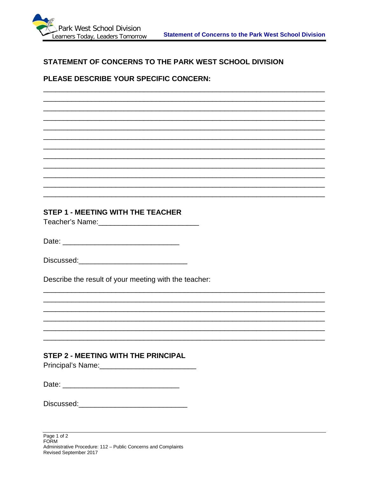

## STATEMENT OF CONCERNS TO THE PARK WEST SCHOOL DIVISION

## PLEASE DESCRIBE YOUR SPECIFIC CONCERN:

#### **STEP 1 - MEETING WITH THE TEACHER**

Teacher's Name: The Controller Controller

Date: <u>\_\_\_\_\_\_\_\_\_\_\_\_\_\_\_\_\_\_\_\_\_\_\_\_\_\_\_\_\_</u>

Describe the result of your meeting with the teacher:

## **STEP 2 - MEETING WITH THE PRINCIPAL**

| Principal's Name: |  |  |  |
|-------------------|--|--|--|
|                   |  |  |  |

| Date: |
|-------|
|       |
|       |